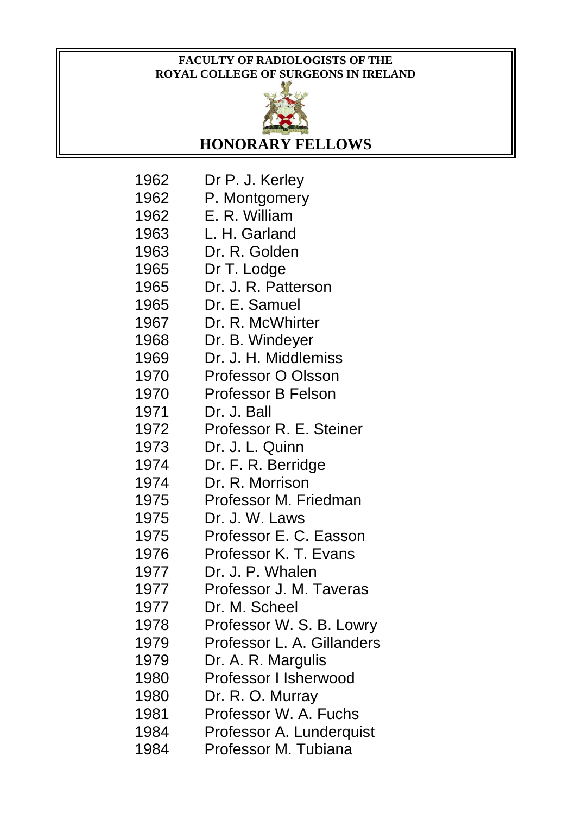## **FACULTY OF RADIOLOGISTS OF THE ROYAL COLLEGE OF SURGEONS IN IRELAND**



**HONORARY FELLOWS**

| 1962 | Dr P. J. Kerley            |
|------|----------------------------|
| 1962 | P. Montgomery              |
| 1962 | E. R. William              |
| 1963 | L. H. Garland              |
| 1963 | Dr. R. Golden              |
| 1965 | Dr T. Lodge                |
| 1965 | Dr. J. R. Patterson        |
| 1965 | Dr. E. Samuel              |
| 1967 | Dr. R. McWhirter           |
| 1968 | Dr. B. Windeyer            |
| 1969 | Dr. J. H. Middlemiss       |
| 1970 | <b>Professor O Olsson</b>  |
| 1970 | <b>Professor B Felson</b>  |
| 1971 | Dr. J. Ball                |
| 1972 | Professor R. E. Steiner    |
| 1973 | Dr. J. L. Quinn            |
| 1974 | Dr. F. R. Berridge         |
| 1974 | Dr. R. Morrison            |
| 1975 | Professor M. Friedman      |
| 1975 | Dr. J. W. Laws             |
| 1975 | Professor E. C. Easson     |
| 1976 | Professor K. T. Evans      |
| 1977 | Dr. J. P. Whalen           |
| 1977 | Professor J. M. Taveras    |
| 1977 | Dr. M. Scheel              |
| 1978 | Professor W. S. B. Lowry   |
| 1979 | Professor L. A. Gillanders |
| 1979 | Dr. A. R. Margulis         |
| 1980 | Professor I Isherwood      |
| 1980 | Dr. R. O. Murray           |
| 1981 | Professor W. A. Fuchs      |
| 1984 | Professor A. Lunderquist   |
| 1984 | Professor M. Tubiana       |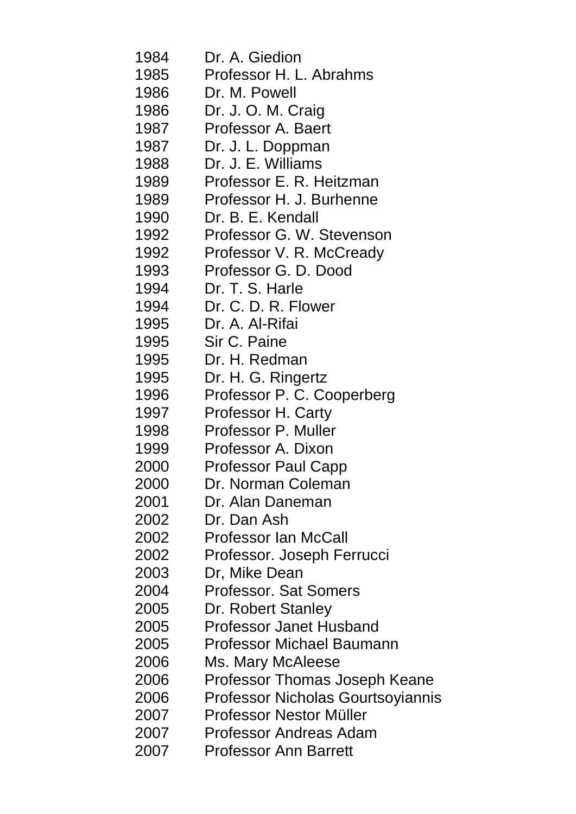| 1984 | Dr. A. Giedion                           |
|------|------------------------------------------|
| 1985 | Professor H. L. Abrahms                  |
| 1986 | Dr. M. Powell                            |
| 1986 | Dr. J. O. M. Craig                       |
| 1987 | Professor A. Baert                       |
| 1987 | Dr. J. L. Doppman                        |
| 1988 | Dr. J. E. Williams                       |
| 1989 | Professor E. R. Heitzman                 |
| 1989 | Professor H. J. Burhenne                 |
| 1990 | Dr. B. E. Kendall                        |
| 1992 | Professor G. W. Stevenson                |
| 1992 | Professor V. R. McCready                 |
| 1993 | Professor G. D. Dood                     |
| 1994 | Dr. T. S. Harle                          |
| 1994 | Dr. C. D. R. Flower                      |
| 1995 | Dr. A. Al-Rifai                          |
| 1995 | Sir C. Paine                             |
| 1995 | Dr. H. Redman                            |
| 1995 | Dr. H. G. Ringertz                       |
| 1996 | Professor P. C. Cooperberg               |
| 1997 | Professor H. Carty                       |
| 1998 | Professor P. Muller                      |
| 1999 | Professor A. Dixon                       |
| 2000 | <b>Professor Paul Capp</b>               |
| 2000 | Dr. Norman Coleman                       |
| 2001 | Dr. Alan Daneman                         |
| 2002 | Dr. Dan Ash                              |
| 2002 | <b>Professor Ian McCall</b>              |
| 2002 | Professor. Joseph Ferrucci               |
| 2003 | Dr, Mike Dean                            |
| 2004 | <b>Professor. Sat Somers</b>             |
| 2005 | Dr. Robert Stanley                       |
| 2005 | <b>Professor Janet Husband</b>           |
| 2005 | <b>Professor Michael Baumann</b>         |
| 2006 | Ms. Mary McAleese                        |
| 2006 | Professor Thomas Joseph Keane            |
| 2006 | <b>Professor Nicholas Gourtsoyiannis</b> |
| 2007 | Professor Nestor Müller                  |
| 2007 | Professor Andreas Adam                   |
| 2007 | <b>Professor Ann Barrett</b>             |